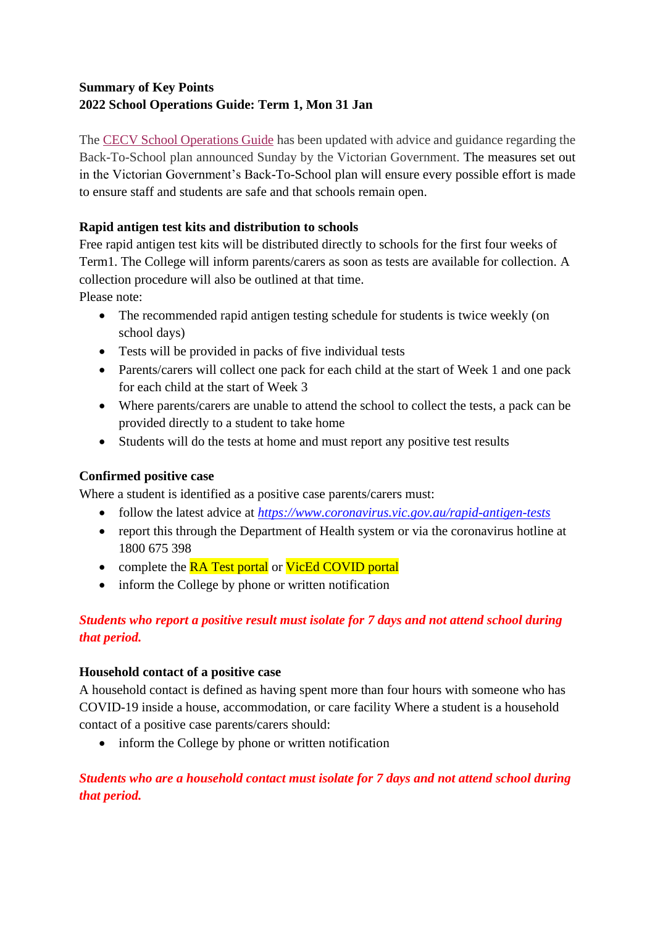## **Summary of Key Points 2022 School Operations Guide: Term 1, Mon 31 Jan**

The [CECV School Operations Guide](https://ceob.schoolzineplus.com/_file/media/797/school_operations_guide_term_1_31_january_2022.pdf) has been updated with advice and guidance regarding the Back-To-School plan announced Sunday by the Victorian Government. The measures set out in the Victorian Government's Back-To-School plan will ensure every possible effort is made to ensure staff and students are safe and that schools remain open.

### **Rapid antigen test kits and distribution to schools**

Free rapid antigen test kits will be distributed directly to schools for the first four weeks of Term1. The College will inform parents/carers as soon as tests are available for collection. A collection procedure will also be outlined at that time. Please note:

- The recommended rapid antigen testing schedule for students is twice weekly (on school days)
- Tests will be provided in packs of five individual tests
- Parents/carers will collect one pack for each child at the start of Week 1 and one pack for each child at the start of Week 3
- Where parents/carers are unable to attend the school to collect the tests, a pack can be provided directly to a student to take home
- Students will do the tests at home and must report any positive test results

## **Confirmed positive case**

Where a student is identified as a positive case parents/carers must:

- follow the latest advice at *<https://www.coronavirus.vic.gov.au/rapid-antigen-tests>*
- report this through the Department of Health system or via the coronavirus hotline at 1800 675 398
- complete the RA Test portal or VicEd COVID portal
- inform the College by phone or written notification

# *Students who report a positive result must isolate for 7 days and not attend school during that period.*

#### **Household contact of a positive case**

A household contact is defined as having spent more than four hours with someone who has COVID-19 inside a house, accommodation, or care facility Where a student is a household contact of a positive case parents/carers should:

• inform the College by phone or written notification

# *Students who are a household contact must isolate for 7 days and not attend school during that period.*